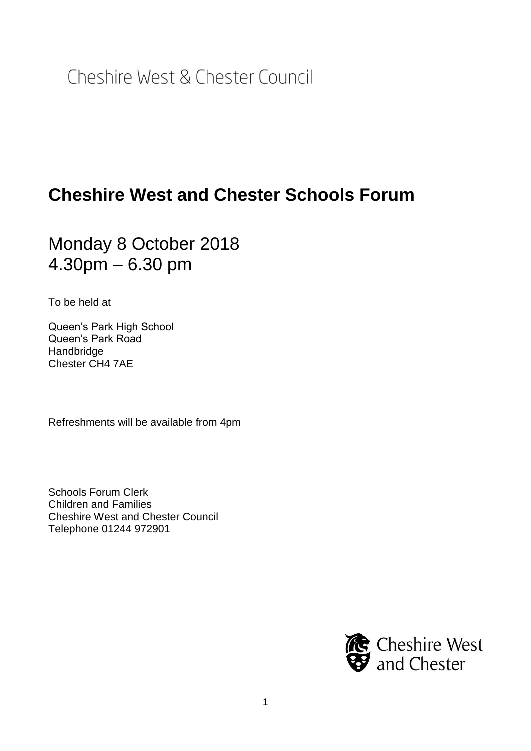Cheshire West & Chester Council

# **Cheshire West and Chester Schools Forum**

## Monday 8 October 2018 4.30pm – 6.30 pm

To be held at

Queen's Park High School Queen's Park Road Handbridge Chester CH4 7AE

Refreshments will be available from 4pm

Schools Forum Clerk Children and Families Cheshire West and Chester Council Telephone 01244 972901

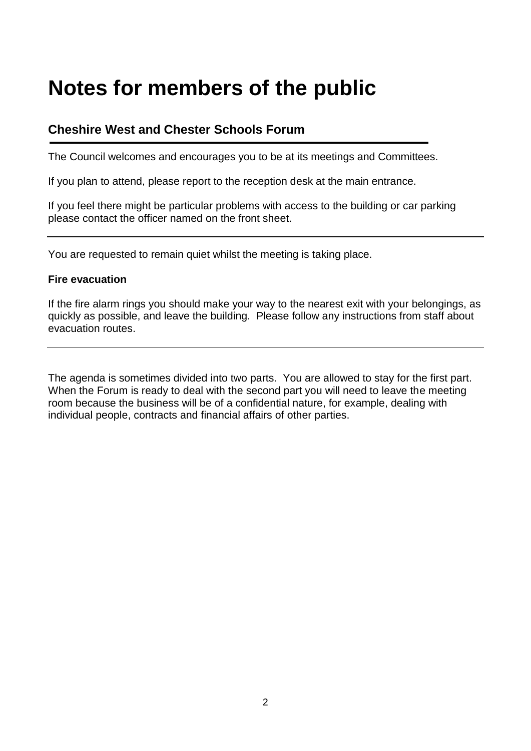# **Notes for members of the public**

### **Cheshire West and Chester Schools Forum**

The Council welcomes and encourages you to be at its meetings and Committees.

If you plan to attend, please report to the reception desk at the main entrance.

If you feel there might be particular problems with access to the building or car parking please contact the officer named on the front sheet.

You are requested to remain quiet whilst the meeting is taking place.

### **Fire evacuation**

If the fire alarm rings you should make your way to the nearest exit with your belongings, as quickly as possible, and leave the building. Please follow any instructions from staff about evacuation routes.

The agenda is sometimes divided into two parts. You are allowed to stay for the first part. When the Forum is ready to deal with the second part you will need to leave the meeting room because the business will be of a confidential nature, for example, dealing with individual people, contracts and financial affairs of other parties.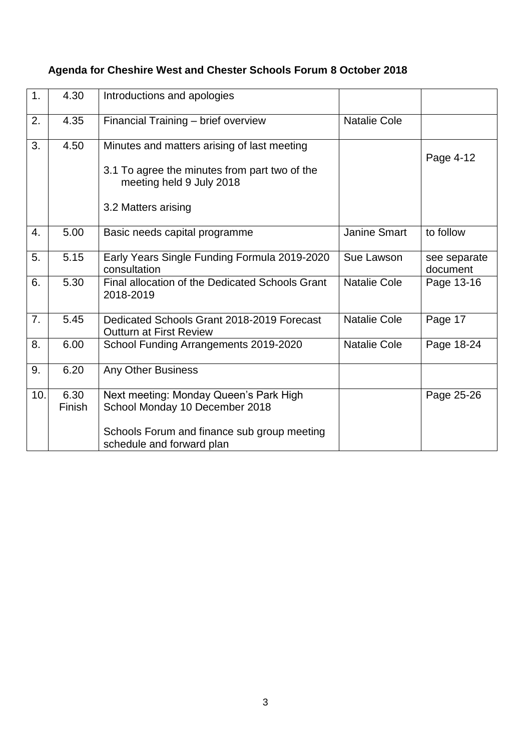| 1.  | 4.30           | Introductions and apologies                                                                                                                          |                     |                          |
|-----|----------------|------------------------------------------------------------------------------------------------------------------------------------------------------|---------------------|--------------------------|
| 2.  | 4.35           | Financial Training - brief overview                                                                                                                  | <b>Natalie Cole</b> |                          |
| 3.  | 4.50           | Minutes and matters arising of last meeting<br>3.1 To agree the minutes from part two of the<br>meeting held 9 July 2018<br>3.2 Matters arising      |                     | Page 4-12                |
| 4.  | 5.00           | Basic needs capital programme                                                                                                                        | <b>Janine Smart</b> | to follow                |
| 5.  | 5.15           | Early Years Single Funding Formula 2019-2020<br>consultation                                                                                         | Sue Lawson          | see separate<br>document |
| 6.  | 5.30           | Final allocation of the Dedicated Schools Grant<br>2018-2019                                                                                         | <b>Natalie Cole</b> | Page 13-16               |
| 7.  | 5.45           | Dedicated Schools Grant 2018-2019 Forecast<br><b>Outturn at First Review</b>                                                                         | <b>Natalie Cole</b> | Page 17                  |
| 8.  | 6.00           | School Funding Arrangements 2019-2020                                                                                                                | <b>Natalie Cole</b> | Page 18-24               |
| 9.  | 6.20           | <b>Any Other Business</b>                                                                                                                            |                     |                          |
| 10. | 6.30<br>Finish | Next meeting: Monday Queen's Park High<br>School Monday 10 December 2018<br>Schools Forum and finance sub group meeting<br>schedule and forward plan |                     | Page 25-26               |

### **Agenda for Cheshire West and Chester Schools Forum 8 October 2018**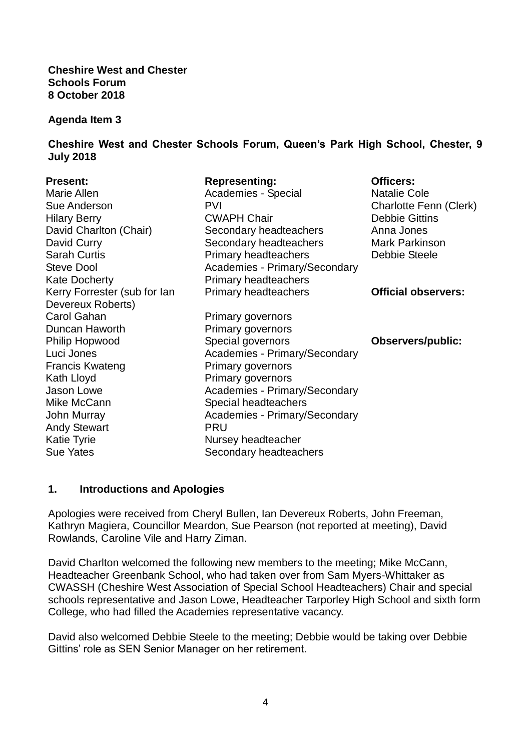**Cheshire West and Chester Schools Forum 8 October 2018**

#### **Agenda Item 3**

**Cheshire West and Chester Schools Forum, Queen's Park High School, Chester, 9 July 2018** 

| <b>Present:</b>              | <b>Representing:</b>                 | <b>Officers:</b>           |
|------------------------------|--------------------------------------|----------------------------|
| Marie Allen                  | Academies - Special                  | <b>Natalie Cole</b>        |
| Sue Anderson                 | <b>PVI</b>                           | Charlotte Fenn (Clerk)     |
| <b>Hilary Berry</b>          | <b>CWAPH Chair</b>                   | <b>Debbie Gittins</b>      |
| David Charlton (Chair)       | Secondary headteachers               | Anna Jones                 |
| David Curry                  | Secondary headteachers               | <b>Mark Parkinson</b>      |
| <b>Sarah Curtis</b>          | <b>Primary headteachers</b>          | Debbie Steele              |
| <b>Steve Dool</b>            | <b>Academies - Primary/Secondary</b> |                            |
| <b>Kate Docherty</b>         | <b>Primary headteachers</b>          |                            |
| Kerry Forrester (sub for lan | <b>Primary headteachers</b>          | <b>Official observers:</b> |
| Devereux Roberts)            |                                      |                            |
| <b>Carol Gahan</b>           | Primary governors                    |                            |
| Duncan Haworth               | Primary governors                    |                            |
| Philip Hopwood               | Special governors                    | <b>Observers/public:</b>   |
| Luci Jones                   | Academies - Primary/Secondary        |                            |
| <b>Francis Kwateng</b>       | <b>Primary governors</b>             |                            |
| Kath Lloyd                   | Primary governors                    |                            |
| Jason Lowe                   | Academies - Primary/Secondary        |                            |
| Mike McCann                  | Special headteachers                 |                            |
| John Murray                  | Academies - Primary/Secondary        |                            |
| <b>Andy Stewart</b>          | <b>PRU</b>                           |                            |
| <b>Katie Tyrie</b>           | Nursey headteacher                   |                            |
| <b>Sue Yates</b>             | Secondary headteachers               |                            |

### **1. Introductions and Apologies**

Apologies were received from Cheryl Bullen, Ian Devereux Roberts, John Freeman, Kathryn Magiera, Councillor Meardon, Sue Pearson (not reported at meeting), David Rowlands, Caroline Vile and Harry Ziman.

David Charlton welcomed the following new members to the meeting; Mike McCann, Headteacher Greenbank School, who had taken over from Sam Myers-Whittaker as CWASSH (Cheshire West Association of Special School Headteachers) Chair and special schools representative and Jason Lowe, Headteacher Tarporley High School and sixth form College, who had filled the Academies representative vacancy.

David also welcomed Debbie Steele to the meeting; Debbie would be taking over Debbie Gittins' role as SEN Senior Manager on her retirement.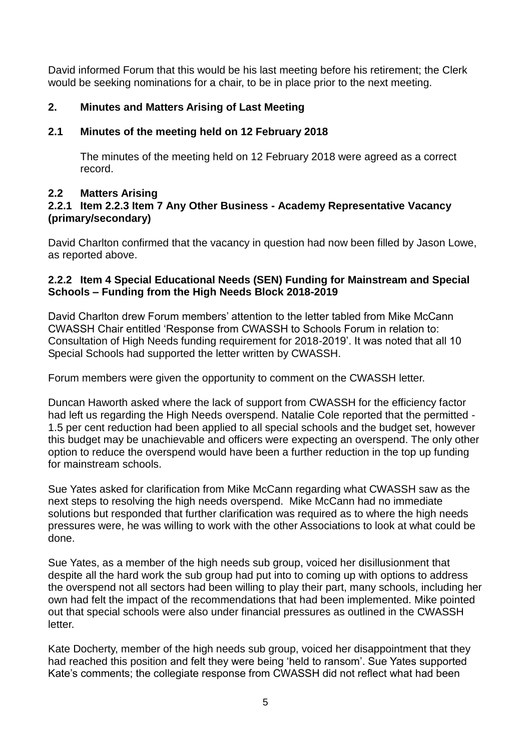David informed Forum that this would be his last meeting before his retirement; the Clerk would be seeking nominations for a chair, to be in place prior to the next meeting.

### **2. Minutes and Matters Arising of Last Meeting**

### **2.1 Minutes of the meeting held on 12 February 2018**

The minutes of the meeting held on 12 February 2018 were agreed as a correct record.

### **2.2 Matters Arising**

### **2.2.1 Item 2.2.3 Item 7 Any Other Business - Academy Representative Vacancy (primary/secondary)**

David Charlton confirmed that the vacancy in question had now been filled by Jason Lowe, as reported above.

### **2.2.2 Item 4 Special Educational Needs (SEN) Funding for Mainstream and Special Schools – Funding from the High Needs Block 2018-2019**

David Charlton drew Forum members' attention to the letter tabled from Mike McCann CWASSH Chair entitled 'Response from CWASSH to Schools Forum in relation to: Consultation of High Needs funding requirement for 2018-2019'. It was noted that all 10 Special Schools had supported the letter written by CWASSH.

Forum members were given the opportunity to comment on the CWASSH letter.

Duncan Haworth asked where the lack of support from CWASSH for the efficiency factor had left us regarding the High Needs overspend. Natalie Cole reported that the permitted - 1.5 per cent reduction had been applied to all special schools and the budget set, however this budget may be unachievable and officers were expecting an overspend. The only other option to reduce the overspend would have been a further reduction in the top up funding for mainstream schools.

Sue Yates asked for clarification from Mike McCann regarding what CWASSH saw as the next steps to resolving the high needs overspend. Mike McCann had no immediate solutions but responded that further clarification was required as to where the high needs pressures were, he was willing to work with the other Associations to look at what could be done.

Sue Yates, as a member of the high needs sub group, voiced her disillusionment that despite all the hard work the sub group had put into to coming up with options to address the overspend not all sectors had been willing to play their part, many schools, including her own had felt the impact of the recommendations that had been implemented. Mike pointed out that special schools were also under financial pressures as outlined in the CWASSH letter.

Kate Docherty, member of the high needs sub group, voiced her disappointment that they had reached this position and felt they were being 'held to ransom'. Sue Yates supported Kate's comments; the collegiate response from CWASSH did not reflect what had been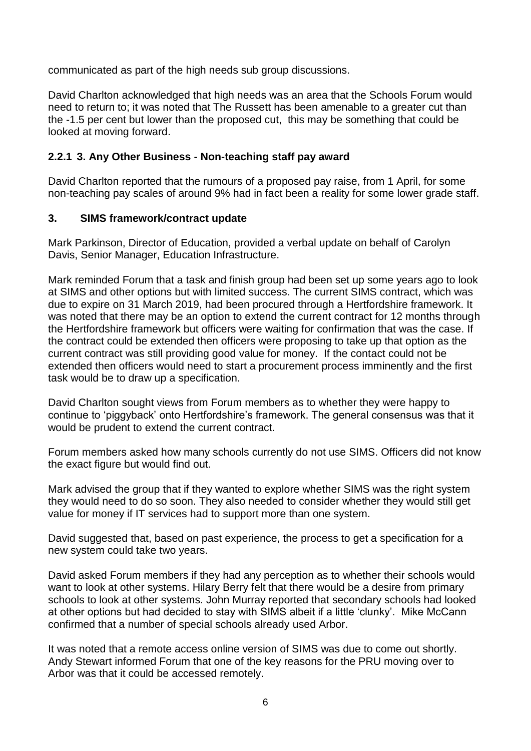communicated as part of the high needs sub group discussions.

David Charlton acknowledged that high needs was an area that the Schools Forum would need to return to; it was noted that The Russett has been amenable to a greater cut than the -1.5 per cent but lower than the proposed cut, this may be something that could be looked at moving forward.

### **2.2.1 3. Any Other Business - Non-teaching staff pay award**

David Charlton reported that the rumours of a proposed pay raise, from 1 April, for some non-teaching pay scales of around 9% had in fact been a reality for some lower grade staff.

### **3. SIMS framework/contract update**

Mark Parkinson, Director of Education, provided a verbal update on behalf of Carolyn Davis, Senior Manager, Education Infrastructure.

Mark reminded Forum that a task and finish group had been set up some years ago to look at SIMS and other options but with limited success. The current SIMS contract, which was due to expire on 31 March 2019, had been procured through a Hertfordshire framework. It was noted that there may be an option to extend the current contract for 12 months through the Hertfordshire framework but officers were waiting for confirmation that was the case. If the contract could be extended then officers were proposing to take up that option as the current contract was still providing good value for money. If the contact could not be extended then officers would need to start a procurement process imminently and the first task would be to draw up a specification.

David Charlton sought views from Forum members as to whether they were happy to continue to 'piggyback' onto Hertfordshire's framework. The general consensus was that it would be prudent to extend the current contract.

Forum members asked how many schools currently do not use SIMS. Officers did not know the exact figure but would find out.

Mark advised the group that if they wanted to explore whether SIMS was the right system they would need to do so soon. They also needed to consider whether they would still get value for money if IT services had to support more than one system.

David suggested that, based on past experience, the process to get a specification for a new system could take two years.

David asked Forum members if they had any perception as to whether their schools would want to look at other systems. Hilary Berry felt that there would be a desire from primary schools to look at other systems. John Murray reported that secondary schools had looked at other options but had decided to stay with SIMS albeit if a little 'clunky'. Mike McCann confirmed that a number of special schools already used Arbor.

It was noted that a remote access online version of SIMS was due to come out shortly. Andy Stewart informed Forum that one of the key reasons for the PRU moving over to Arbor was that it could be accessed remotely.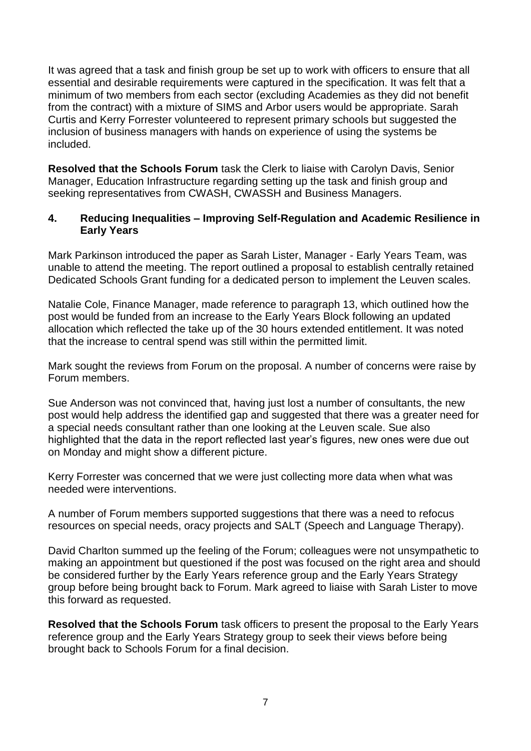It was agreed that a task and finish group be set up to work with officers to ensure that all essential and desirable requirements were captured in the specification. It was felt that a minimum of two members from each sector (excluding Academies as they did not benefit from the contract) with a mixture of SIMS and Arbor users would be appropriate. Sarah Curtis and Kerry Forrester volunteered to represent primary schools but suggested the inclusion of business managers with hands on experience of using the systems be included.

**Resolved that the Schools Forum** task the Clerk to liaise with Carolyn Davis, Senior Manager, Education Infrastructure regarding setting up the task and finish group and seeking representatives from CWASH, CWASSH and Business Managers.

### **4. Reducing Inequalities – Improving Self-Regulation and Academic Resilience in Early Years**

Mark Parkinson introduced the paper as Sarah Lister, Manager - Early Years Team, was unable to attend the meeting. The report outlined a proposal to establish centrally retained Dedicated Schools Grant funding for a dedicated person to implement the Leuven scales.

Natalie Cole, Finance Manager, made reference to paragraph 13, which outlined how the post would be funded from an increase to the Early Years Block following an updated allocation which reflected the take up of the 30 hours extended entitlement. It was noted that the increase to central spend was still within the permitted limit.

Mark sought the reviews from Forum on the proposal. A number of concerns were raise by Forum members.

Sue Anderson was not convinced that, having just lost a number of consultants, the new post would help address the identified gap and suggested that there was a greater need for a special needs consultant rather than one looking at the Leuven scale. Sue also highlighted that the data in the report reflected last year's figures, new ones were due out on Monday and might show a different picture.

Kerry Forrester was concerned that we were just collecting more data when what was needed were interventions.

A number of Forum members supported suggestions that there was a need to refocus resources on special needs, oracy projects and SALT (Speech and Language Therapy).

David Charlton summed up the feeling of the Forum; colleagues were not unsympathetic to making an appointment but questioned if the post was focused on the right area and should be considered further by the Early Years reference group and the Early Years Strategy group before being brought back to Forum. Mark agreed to liaise with Sarah Lister to move this forward as requested.

**Resolved that the Schools Forum** task officers to present the proposal to the Early Years reference group and the Early Years Strategy group to seek their views before being brought back to Schools Forum for a final decision.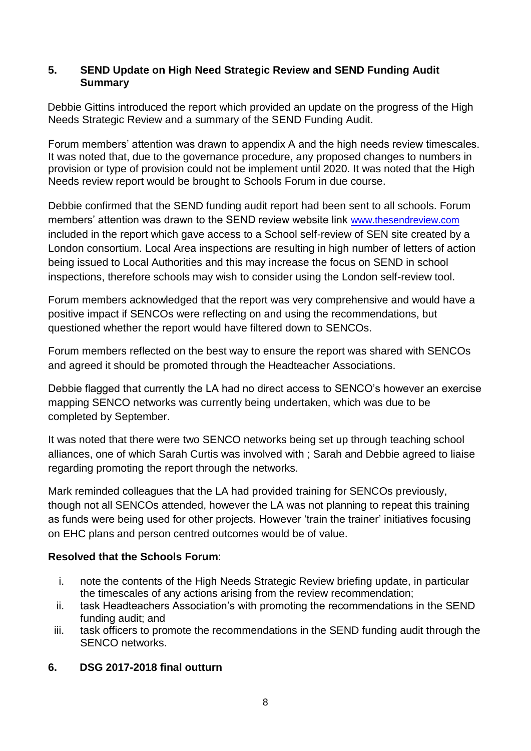### **5. SEND Update on High Need Strategic Review and SEND Funding Audit Summary**

Debbie Gittins introduced the report which provided an update on the progress of the High Needs Strategic Review and a summary of the SEND Funding Audit.

Forum members' attention was drawn to appendix A and the high needs review timescales. It was noted that, due to the governance procedure, any proposed changes to numbers in provision or type of provision could not be implement until 2020. It was noted that the High Needs review report would be brought to Schools Forum in due course.

Debbie confirmed that the SEND funding audit report had been sent to all schools. Forum members' attention was drawn to the SEND review website link [www.thesendreview.com](http://www.thesendreview.com/)  included in the report which gave access to a School self-review of SEN site created by a London consortium. Local Area inspections are resulting in high number of letters of action being issued to Local Authorities and this may increase the focus on SEND in school inspections, therefore schools may wish to consider using the London self-review tool.

Forum members acknowledged that the report was very comprehensive and would have a positive impact if SENCOs were reflecting on and using the recommendations, but questioned whether the report would have filtered down to SENCOs.

Forum members reflected on the best way to ensure the report was shared with SENCOs and agreed it should be promoted through the Headteacher Associations.

Debbie flagged that currently the LA had no direct access to SENCO's however an exercise mapping SENCO networks was currently being undertaken, which was due to be completed by September.

It was noted that there were two SENCO networks being set up through teaching school alliances, one of which Sarah Curtis was involved with ; Sarah and Debbie agreed to liaise regarding promoting the report through the networks.

Mark reminded colleagues that the LA had provided training for SENCOs previously, though not all SENCOs attended, however the LA was not planning to repeat this training as funds were being used for other projects. However 'train the trainer' initiatives focusing on EHC plans and person centred outcomes would be of value.

### **Resolved that the Schools Forum**:

- i. note the contents of the High Needs Strategic Review briefing update, in particular the timescales of any actions arising from the review recommendation;
- ii. task Headteachers Association's with promoting the recommendations in the SEND funding audit; and
- iii. task officers to promote the recommendations in the SEND funding audit through the SENCO networks.
- **6. DSG 2017-2018 final outturn**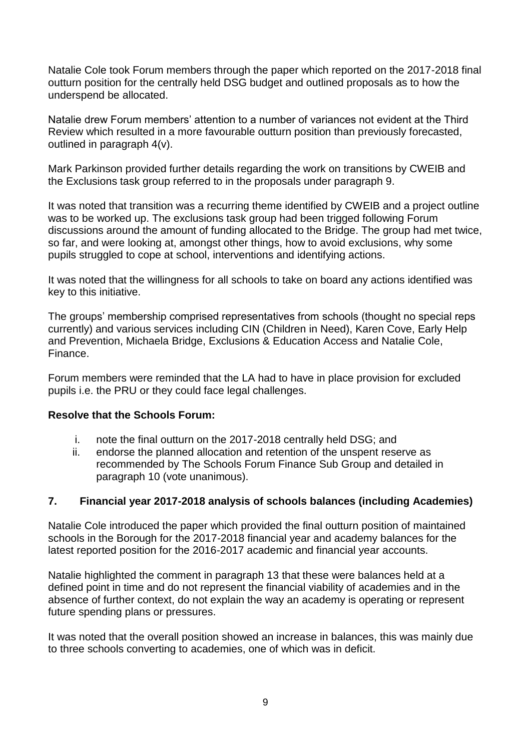Natalie Cole took Forum members through the paper which reported on the 2017-2018 final outturn position for the centrally held DSG budget and outlined proposals as to how the underspend be allocated.

Natalie drew Forum members' attention to a number of variances not evident at the Third Review which resulted in a more favourable outturn position than previously forecasted, outlined in paragraph 4(v).

Mark Parkinson provided further details regarding the work on transitions by CWEIB and the Exclusions task group referred to in the proposals under paragraph 9.

It was noted that transition was a recurring theme identified by CWEIB and a project outline was to be worked up. The exclusions task group had been trigged following Forum discussions around the amount of funding allocated to the Bridge. The group had met twice, so far, and were looking at, amongst other things, how to avoid exclusions, why some pupils struggled to cope at school, interventions and identifying actions.

It was noted that the willingness for all schools to take on board any actions identified was key to this initiative.

The groups' membership comprised representatives from schools (thought no special reps currently) and various services including CIN (Children in Need), Karen Cove, Early Help and Prevention, Michaela Bridge, Exclusions & Education Access and Natalie Cole, Finance.

Forum members were reminded that the LA had to have in place provision for excluded pupils i.e. the PRU or they could face legal challenges.

### **Resolve that the Schools Forum:**

- i. note the final outturn on the 2017-2018 centrally held DSG; and
- ii. endorse the planned allocation and retention of the unspent reserve as recommended by The Schools Forum Finance Sub Group and detailed in paragraph 10 (vote unanimous).

### **7. Financial year 2017-2018 analysis of schools balances (including Academies)**

Natalie Cole introduced the paper which provided the final outturn position of maintained schools in the Borough for the 2017-2018 financial year and academy balances for the latest reported position for the 2016-2017 academic and financial year accounts.

Natalie highlighted the comment in paragraph 13 that these were balances held at a defined point in time and do not represent the financial viability of academies and in the absence of further context, do not explain the way an academy is operating or represent future spending plans or pressures.

It was noted that the overall position showed an increase in balances, this was mainly due to three schools converting to academies, one of which was in deficit.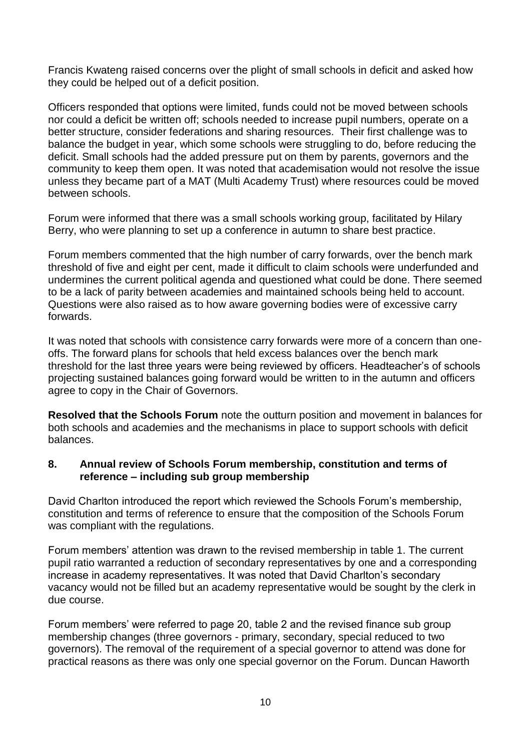Francis Kwateng raised concerns over the plight of small schools in deficit and asked how they could be helped out of a deficit position.

Officers responded that options were limited, funds could not be moved between schools nor could a deficit be written off; schools needed to increase pupil numbers, operate on a better structure, consider federations and sharing resources. Their first challenge was to balance the budget in year, which some schools were struggling to do, before reducing the deficit. Small schools had the added pressure put on them by parents, governors and the community to keep them open. It was noted that academisation would not resolve the issue unless they became part of a MAT (Multi Academy Trust) where resources could be moved between schools.

Forum were informed that there was a small schools working group, facilitated by Hilary Berry, who were planning to set up a conference in autumn to share best practice.

Forum members commented that the high number of carry forwards, over the bench mark threshold of five and eight per cent, made it difficult to claim schools were underfunded and undermines the current political agenda and questioned what could be done. There seemed to be a lack of parity between academies and maintained schools being held to account. Questions were also raised as to how aware governing bodies were of excessive carry forwards.

It was noted that schools with consistence carry forwards were more of a concern than oneoffs. The forward plans for schools that held excess balances over the bench mark threshold for the last three years were being reviewed by officers. Headteacher's of schools projecting sustained balances going forward would be written to in the autumn and officers agree to copy in the Chair of Governors.

**Resolved that the Schools Forum** note the outturn position and movement in balances for both schools and academies and the mechanisms in place to support schools with deficit balances.

### **8. Annual review of Schools Forum membership, constitution and terms of reference – including sub group membership**

David Charlton introduced the report which reviewed the Schools Forum's membership, constitution and terms of reference to ensure that the composition of the Schools Forum was compliant with the regulations.

Forum members' attention was drawn to the revised membership in table 1. The current pupil ratio warranted a reduction of secondary representatives by one and a corresponding increase in academy representatives. It was noted that David Charlton's secondary vacancy would not be filled but an academy representative would be sought by the clerk in due course.

Forum members' were referred to page 20, table 2 and the revised finance sub group membership changes (three governors - primary, secondary, special reduced to two governors). The removal of the requirement of a special governor to attend was done for practical reasons as there was only one special governor on the Forum. Duncan Haworth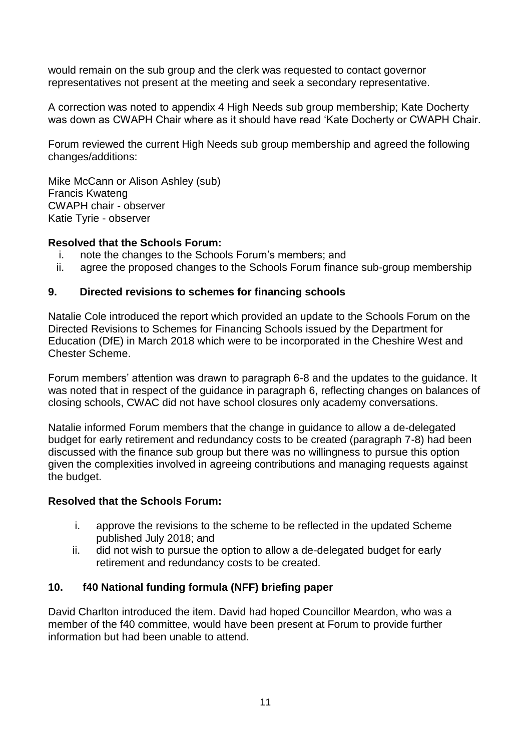would remain on the sub group and the clerk was requested to contact governor representatives not present at the meeting and seek a secondary representative.

A correction was noted to appendix 4 High Needs sub group membership; Kate Docherty was down as CWAPH Chair where as it should have read 'Kate Docherty or CWAPH Chair.

Forum reviewed the current High Needs sub group membership and agreed the following changes/additions:

Mike McCann or Alison Ashley (sub) Francis Kwateng CWAPH chair - observer Katie Tyrie - observer

### **Resolved that the Schools Forum:**

- i. note the changes to the Schools Forum's members; and
- ii. agree the proposed changes to the Schools Forum finance sub-group membership

### **9. Directed revisions to schemes for financing schools**

Natalie Cole introduced the report which provided an update to the Schools Forum on the Directed Revisions to Schemes for Financing Schools issued by the Department for Education (DfE) in March 2018 which were to be incorporated in the Cheshire West and Chester Scheme.

Forum members' attention was drawn to paragraph 6-8 and the updates to the guidance. It was noted that in respect of the guidance in paragraph 6, reflecting changes on balances of closing schools, CWAC did not have school closures only academy conversations.

Natalie informed Forum members that the change in guidance to allow a de-delegated budget for early retirement and redundancy costs to be created (paragraph 7-8) had been discussed with the finance sub group but there was no willingness to pursue this option given the complexities involved in agreeing contributions and managing requests against the budget.

### **Resolved that the Schools Forum:**

- i. approve the revisions to the scheme to be reflected in the updated Scheme published July 2018; and
- ii. did not wish to pursue the option to allow a de-delegated budget for early retirement and redundancy costs to be created.

### **10. f40 National funding formula (NFF) briefing paper**

David Charlton introduced the item. David had hoped Councillor Meardon, who was a member of the f40 committee, would have been present at Forum to provide further information but had been unable to attend.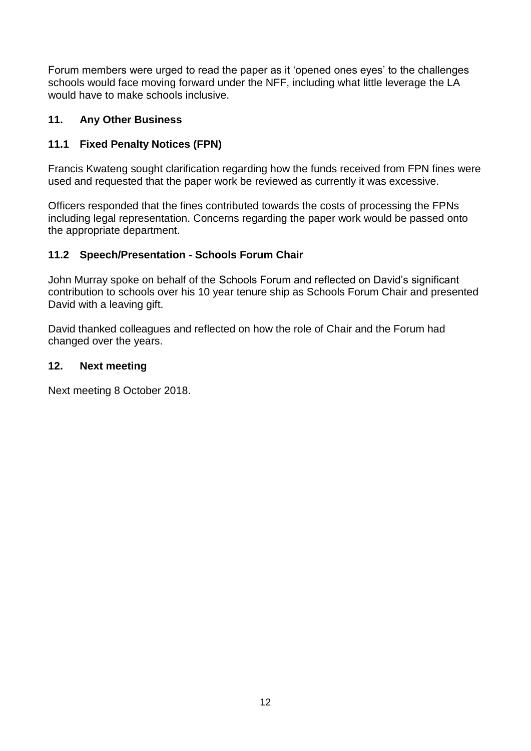Forum members were urged to read the paper as it 'opened ones eyes' to the challenges schools would face moving forward under the NFF, including what little leverage the LA would have to make schools inclusive.

### **11. Any Other Business**

### **11.1 Fixed Penalty Notices (FPN)**

Francis Kwateng sought clarification regarding how the funds received from FPN fines were used and requested that the paper work be reviewed as currently it was excessive.

Officers responded that the fines contributed towards the costs of processing the FPNs including legal representation. Concerns regarding the paper work would be passed onto the appropriate department.

### **11.2 Speech/Presentation - Schools Forum Chair**

John Murray spoke on behalf of the Schools Forum and reflected on David's significant contribution to schools over his 10 year tenure ship as Schools Forum Chair and presented David with a leaving gift.

David thanked colleagues and reflected on how the role of Chair and the Forum had changed over the years.

### **12. Next meeting**

Next meeting 8 October 2018.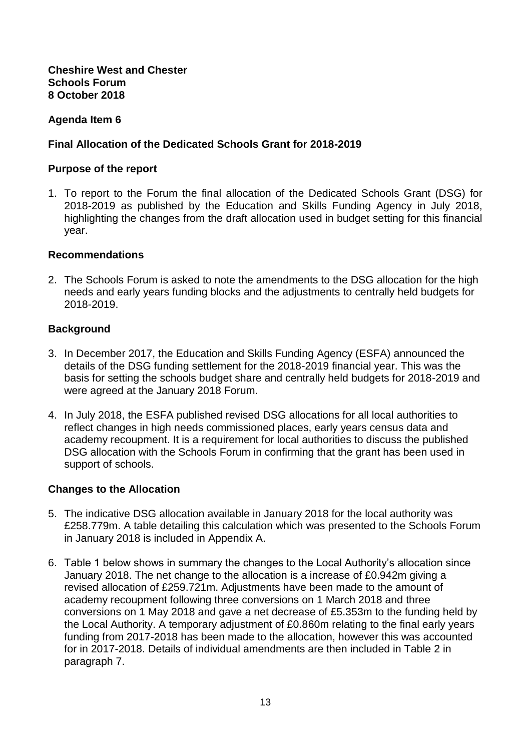### **Cheshire West and Chester Schools Forum 8 October 2018**

### **Agenda Item 6**

### **Final Allocation of the Dedicated Schools Grant for 2018-2019**

### **Purpose of the report**

1. To report to the Forum the final allocation of the Dedicated Schools Grant (DSG) for 2018-2019 as published by the Education and Skills Funding Agency in July 2018, highlighting the changes from the draft allocation used in budget setting for this financial year.

### **Recommendations**

2. The Schools Forum is asked to note the amendments to the DSG allocation for the high needs and early years funding blocks and the adjustments to centrally held budgets for 2018-2019.

### **Background**

- 3. In December 2017, the Education and Skills Funding Agency (ESFA) announced the details of the DSG funding settlement for the 2018-2019 financial year. This was the basis for setting the schools budget share and centrally held budgets for 2018-2019 and were agreed at the January 2018 Forum.
- 4. In July 2018, the ESFA published revised DSG allocations for all local authorities to reflect changes in high needs commissioned places, early years census data and academy recoupment. It is a requirement for local authorities to discuss the published DSG allocation with the Schools Forum in confirming that the grant has been used in support of schools.

### **Changes to the Allocation**

- 5. The indicative DSG allocation available in January 2018 for the local authority was £258.779m. A table detailing this calculation which was presented to the Schools Forum in January 2018 is included in Appendix A.
- 6. Table 1 below shows in summary the changes to the Local Authority's allocation since January 2018. The net change to the allocation is a increase of £0.942m giving a revised allocation of £259.721m. Adjustments have been made to the amount of academy recoupment following three conversions on 1 March 2018 and three conversions on 1 May 2018 and gave a net decrease of £5.353m to the funding held by the Local Authority. A temporary adjustment of £0.860m relating to the final early years funding from 2017-2018 has been made to the allocation, however this was accounted for in 2017-2018. Details of individual amendments are then included in Table 2 in paragraph 7.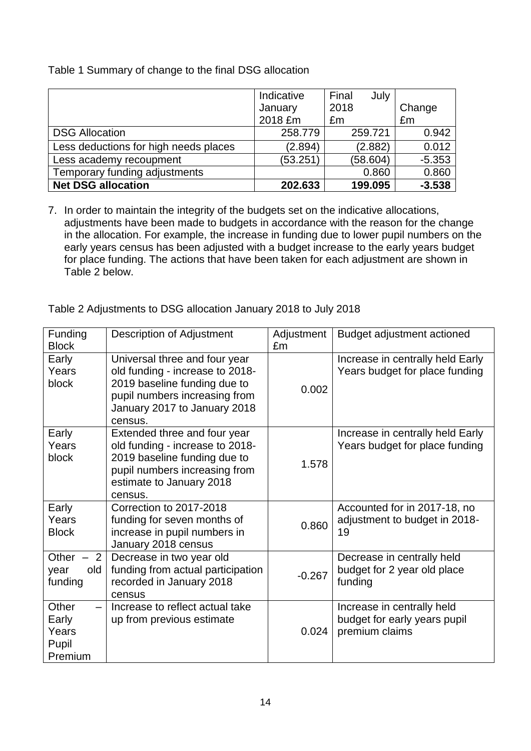|  |  | Table 1 Summary of change to the final DSG allocation |
|--|--|-------------------------------------------------------|
|  |  |                                                       |

|                                       | Indicative | Final<br>July |          |
|---------------------------------------|------------|---------------|----------|
|                                       | January    | 2018          | Change   |
|                                       | 2018 £m    | £m            | £m       |
| <b>DSG Allocation</b>                 | 258,779    | 259.721       | 0.942    |
| Less deductions for high needs places | (2.894)    | (2.882)       | 0.012    |
| Less academy recoupment               | (53.251)   | (58.604)      | $-5.353$ |
| Temporary funding adjustments         |            | 0.860         | 0.860    |
| <b>Net DSG allocation</b>             | 202.633    | 199.095       | $-3.538$ |

7. In order to maintain the integrity of the budgets set on the indicative allocations, adjustments have been made to budgets in accordance with the reason for the change in the allocation. For example, the increase in funding due to lower pupil numbers on the early years census has been adjusted with a budget increase to the early years budget for place funding. The actions that have been taken for each adjustment are shown in Table 2 below.

Table 2 Adjustments to DSG allocation January 2018 to July 2018

| Funding<br><b>Block</b>                     | <b>Description of Adjustment</b>                                                                                                                                             | Adjustment<br>£m | Budget adjustment actioned                                                   |
|---------------------------------------------|------------------------------------------------------------------------------------------------------------------------------------------------------------------------------|------------------|------------------------------------------------------------------------------|
| Early<br>Years<br>block                     | Universal three and four year<br>old funding - increase to 2018-<br>2019 baseline funding due to<br>pupil numbers increasing from<br>January 2017 to January 2018<br>census. | 0.002            | Increase in centrally held Early<br>Years budget for place funding           |
| Early<br>Years<br>block                     | Extended three and four year<br>old funding - increase to 2018-<br>2019 baseline funding due to<br>pupil numbers increasing from<br>estimate to January 2018<br>census.      | 1.578            | Increase in centrally held Early<br>Years budget for place funding           |
| Early<br>Years<br><b>Block</b>              | Correction to 2017-2018<br>funding for seven months of<br>increase in pupil numbers in<br>January 2018 census                                                                | 0.860            | Accounted for in 2017-18, no<br>adjustment to budget in 2018-<br>19          |
| 2<br>Other<br>old<br>year<br>funding        | Decrease in two year old<br>funding from actual participation<br>recorded in January 2018<br>census                                                                          | $-0.267$         | Decrease in centrally held<br>budget for 2 year old place<br>funding         |
| Other<br>Early<br>Years<br>Pupil<br>Premium | Increase to reflect actual take<br>up from previous estimate                                                                                                                 | 0.024            | Increase in centrally held<br>budget for early years pupil<br>premium claims |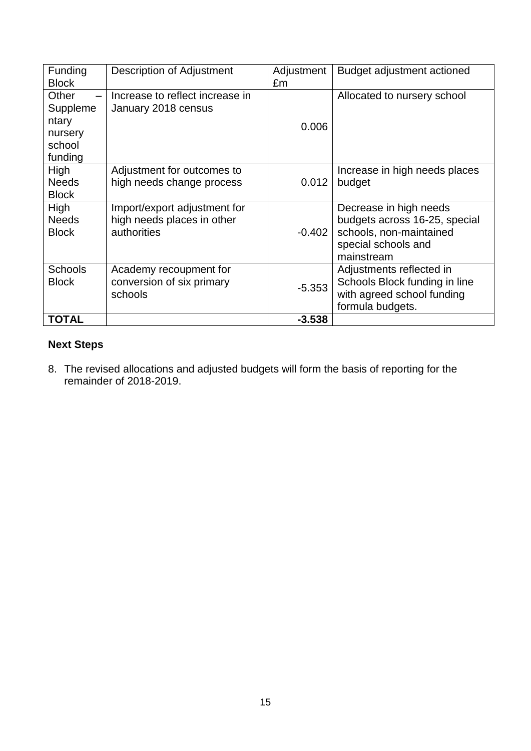| Funding<br><b>Block</b>                                    | Description of Adjustment                                                 | Adjustment<br>£m | Budget adjustment actioned                                                                                              |
|------------------------------------------------------------|---------------------------------------------------------------------------|------------------|-------------------------------------------------------------------------------------------------------------------------|
| Other<br>Suppleme<br>ntary<br>nursery<br>school<br>funding | Increase to reflect increase in<br>January 2018 census                    | 0.006            | Allocated to nursery school                                                                                             |
| High<br><b>Needs</b><br><b>Block</b>                       | Adjustment for outcomes to<br>high needs change process                   | 0.012            | Increase in high needs places<br>budget                                                                                 |
| High<br><b>Needs</b><br><b>Block</b>                       | Import/export adjustment for<br>high needs places in other<br>authorities | $-0.402$         | Decrease in high needs<br>budgets across 16-25, special<br>schools, non-maintained<br>special schools and<br>mainstream |
| <b>Schools</b><br><b>Block</b>                             | Academy recoupment for<br>conversion of six primary<br>schools            | $-5.353$         | Adjustments reflected in<br>Schools Block funding in line<br>with agreed school funding<br>formula budgets.             |
| TOTAL                                                      |                                                                           | $-3.538$         |                                                                                                                         |

### **Next Steps**

8. The revised allocations and adjusted budgets will form the basis of reporting for the remainder of 2018-2019.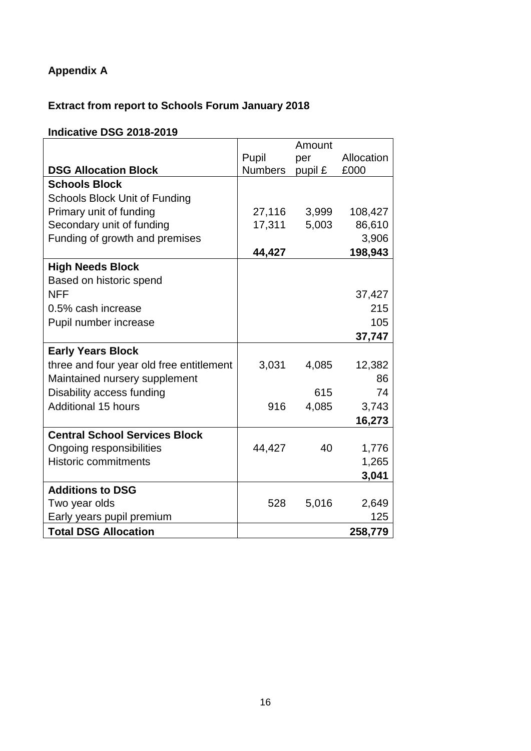### **Appendix A**

### **Extract from report to Schools Forum January 2018**

### **Indicative DSG 2018-2019**

|                                          |                | Amount  |            |
|------------------------------------------|----------------|---------|------------|
|                                          | Pupil          | per     | Allocation |
| <b>DSG Allocation Block</b>              | <b>Numbers</b> | pupil £ | £000       |
| <b>Schools Block</b>                     |                |         |            |
| <b>Schools Block Unit of Funding</b>     |                |         |            |
| Primary unit of funding                  | 27,116         | 3,999   | 108,427    |
| Secondary unit of funding                | 17,311         | 5,003   | 86,610     |
| Funding of growth and premises           |                |         | 3,906      |
|                                          | 44,427         |         | 198,943    |
| <b>High Needs Block</b>                  |                |         |            |
| Based on historic spend                  |                |         |            |
| <b>NFF</b>                               |                |         | 37,427     |
| 0.5% cash increase                       |                |         | 215        |
| Pupil number increase                    |                |         | 105        |
|                                          |                |         | 37,747     |
| <b>Early Years Block</b>                 |                |         |            |
| three and four year old free entitlement | 3,031          | 4,085   | 12,382     |
| Maintained nursery supplement            |                |         | 86         |
| Disability access funding                |                | 615     | 74         |
| <b>Additional 15 hours</b>               | 916            | 4,085   | 3,743      |
|                                          |                |         | 16,273     |
| <b>Central School Services Block</b>     |                |         |            |
| Ongoing responsibilities                 | 44,427         | 40      | 1,776      |
| <b>Historic commitments</b>              |                |         | 1,265      |
|                                          |                |         | 3,041      |
| <b>Additions to DSG</b>                  |                |         |            |
| Two year olds                            | 528            | 5,016   | 2,649      |
| Early years pupil premium                |                |         | 125        |
| <b>Total DSG Allocation</b>              |                |         | 258,779    |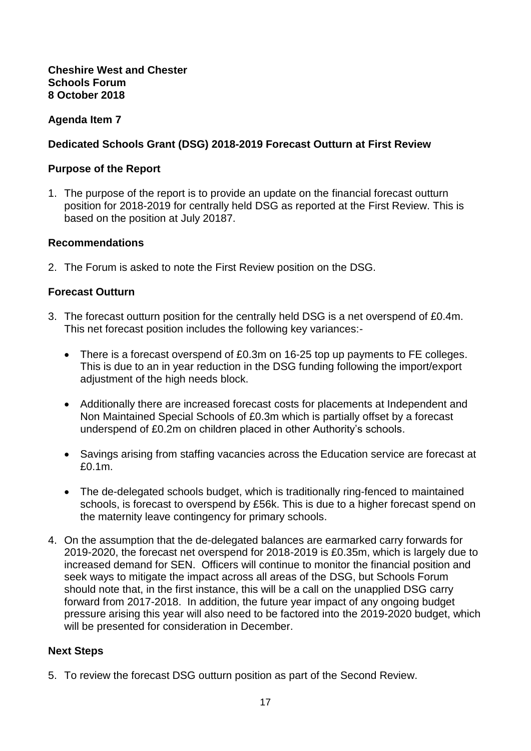### **Agenda Item 7**

### **Dedicated Schools Grant (DSG) 2018-2019 Forecast Outturn at First Review**

#### **Purpose of the Report**

1. The purpose of the report is to provide an update on the financial forecast outturn position for 2018-2019 for centrally held DSG as reported at the First Review. This is based on the position at July 20187.

#### **Recommendations**

2. The Forum is asked to note the First Review position on the DSG.

### **Forecast Outturn**

- 3. The forecast outturn position for the centrally held DSG is a net overspend of £0.4m. This net forecast position includes the following key variances:-
	- There is a forecast overspend of £0.3m on 16-25 top up payments to FE colleges. This is due to an in year reduction in the DSG funding following the import/export adjustment of the high needs block.
	- Additionally there are increased forecast costs for placements at Independent and Non Maintained Special Schools of £0.3m which is partially offset by a forecast underspend of £0.2m on children placed in other Authority's schools.
	- Savings arising from staffing vacancies across the Education service are forecast at £0.1m.
	- The de-delegated schools budget, which is traditionally ring-fenced to maintained schools, is forecast to overspend by £56k. This is due to a higher forecast spend on the maternity leave contingency for primary schools.
- 4. On the assumption that the de-delegated balances are earmarked carry forwards for 2019-2020, the forecast net overspend for 2018-2019 is £0.35m, which is largely due to increased demand for SEN. Officers will continue to monitor the financial position and seek ways to mitigate the impact across all areas of the DSG, but Schools Forum should note that, in the first instance, this will be a call on the unapplied DSG carry forward from 2017-2018. In addition, the future year impact of any ongoing budget pressure arising this year will also need to be factored into the 2019-2020 budget, which will be presented for consideration in December.

### **Next Steps**

5. To review the forecast DSG outturn position as part of the Second Review.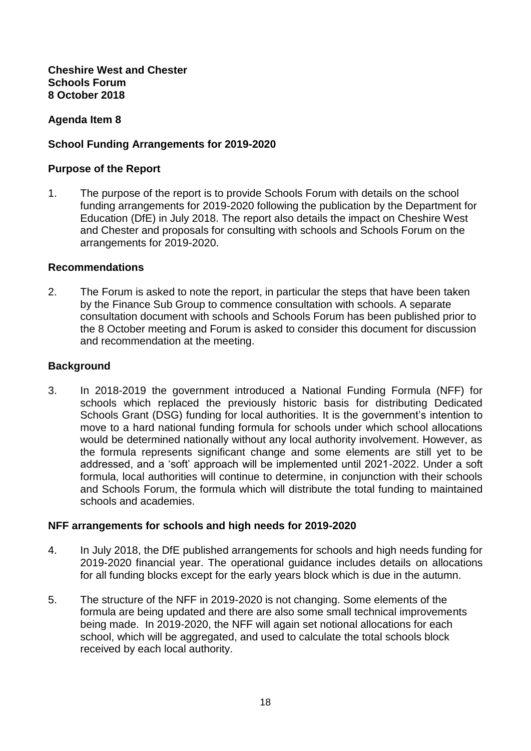**Cheshire West and Chester Schools Forum 8 October 2018**

### **Agenda Item 8**

### **School Funding Arrangements for 2019-2020**

#### **Purpose of the Report**

1. The purpose of the report is to provide Schools Forum with details on the school funding arrangements for 2019-2020 following the publication by the Department for Education (DfE) in July 2018. The report also details the impact on Cheshire West and Chester and proposals for consulting with schools and Schools Forum on the arrangements for 2019-2020.

#### **Recommendations**

2. The Forum is asked to note the report, in particular the steps that have been taken by the Finance Sub Group to commence consultation with schools. A separate consultation document with schools and Schools Forum has been published prior to the 8 October meeting and Forum is asked to consider this document for discussion and recommendation at the meeting.

#### **Background**

3. In 2018-2019 the government introduced a National Funding Formula (NFF) for schools which replaced the previously historic basis for distributing Dedicated Schools Grant (DSG) funding for local authorities. It is the government's intention to move to a hard national funding formula for schools under which school allocations would be determined nationally without any local authority involvement. However, as the formula represents significant change and some elements are still yet to be addressed, and a 'soft' approach will be implemented until 2021-2022. Under a soft formula, local authorities will continue to determine, in conjunction with their schools and Schools Forum, the formula which will distribute the total funding to maintained schools and academies.

### **NFF arrangements for schools and high needs for 2019-2020**

- 4. In July 2018, the DfE published arrangements for schools and high needs funding for 2019-2020 financial year. The operational guidance includes details on allocations for all funding blocks except for the early years block which is due in the autumn.
- 5. The structure of the NFF in 2019-2020 is not changing. Some elements of the formula are being updated and there are also some small technical improvements being made. In 2019-2020, the NFF will again set notional allocations for each school, which will be aggregated, and used to calculate the total schools block received by each local authority.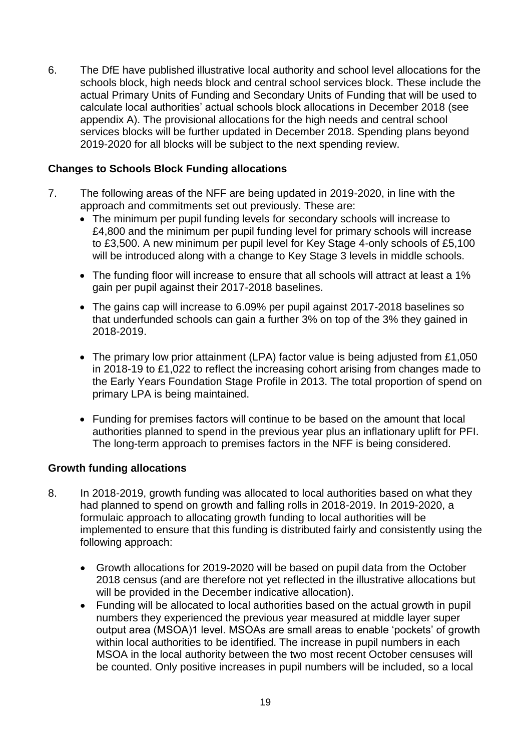6. The DfE have published illustrative local authority and school level allocations for the schools block, high needs block and central school services block. These include the actual Primary Units of Funding and Secondary Units of Funding that will be used to calculate local authorities' actual schools block allocations in December 2018 (see appendix A). The provisional allocations for the high needs and central school services blocks will be further updated in December 2018. Spending plans beyond 2019-2020 for all blocks will be subject to the next spending review.

### **Changes to Schools Block Funding allocations**

- 7. The following areas of the NFF are being updated in 2019-2020, in line with the approach and commitments set out previously. These are:
	- The minimum per pupil funding levels for secondary schools will increase to £4,800 and the minimum per pupil funding level for primary schools will increase to £3,500. A new minimum per pupil level for Key Stage 4-only schools of £5,100 will be introduced along with a change to Key Stage 3 levels in middle schools.
	- The funding floor will increase to ensure that all schools will attract at least a 1% gain per pupil against their 2017-2018 baselines.
	- The gains cap will increase to 6.09% per pupil against 2017-2018 baselines so that underfunded schools can gain a further 3% on top of the 3% they gained in 2018-2019.
	- The primary low prior attainment (LPA) factor value is being adjusted from £1,050 in 2018-19 to £1,022 to reflect the increasing cohort arising from changes made to the Early Years Foundation Stage Profile in 2013. The total proportion of spend on primary LPA is being maintained.
	- Funding for premises factors will continue to be based on the amount that local authorities planned to spend in the previous year plus an inflationary uplift for PFI. The long-term approach to premises factors in the NFF is being considered.

### **Growth funding allocations**

- 8. In 2018-2019, growth funding was allocated to local authorities based on what they had planned to spend on growth and falling rolls in 2018-2019. In 2019-2020, a formulaic approach to allocating growth funding to local authorities will be implemented to ensure that this funding is distributed fairly and consistently using the following approach:
	- Growth allocations for 2019-2020 will be based on pupil data from the October 2018 census (and are therefore not yet reflected in the illustrative allocations but will be provided in the December indicative allocation).
	- Funding will be allocated to local authorities based on the actual growth in pupil numbers they experienced the previous year measured at middle layer super output area (MSOA)1 level. MSOAs are small areas to enable 'pockets' of growth within local authorities to be identified. The increase in pupil numbers in each MSOA in the local authority between the two most recent October censuses will be counted. Only positive increases in pupil numbers will be included, so a local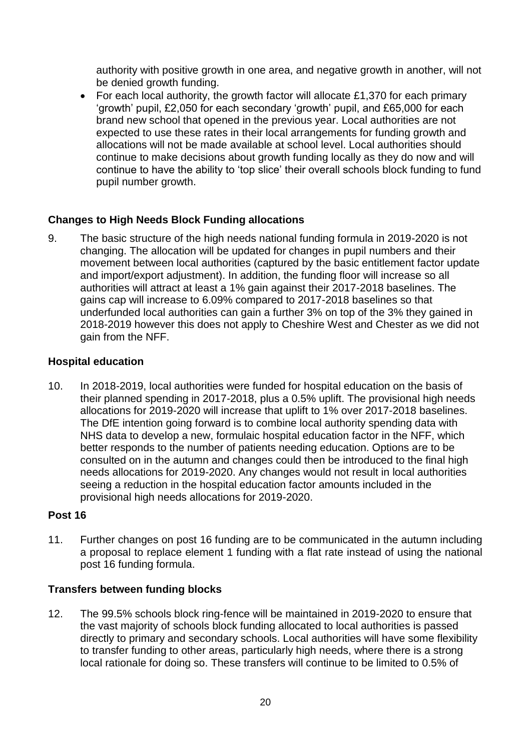authority with positive growth in one area, and negative growth in another, will not be denied growth funding.

• For each local authority, the growth factor will allocate £1,370 for each primary 'growth' pupil, £2,050 for each secondary 'growth' pupil, and £65,000 for each brand new school that opened in the previous year. Local authorities are not expected to use these rates in their local arrangements for funding growth and allocations will not be made available at school level. Local authorities should continue to make decisions about growth funding locally as they do now and will continue to have the ability to 'top slice' their overall schools block funding to fund pupil number growth.

### **Changes to High Needs Block Funding allocations**

9. The basic structure of the high needs national funding formula in 2019-2020 is not changing. The allocation will be updated for changes in pupil numbers and their movement between local authorities (captured by the basic entitlement factor update and import/export adjustment). In addition, the funding floor will increase so all authorities will attract at least a 1% gain against their 2017-2018 baselines. The gains cap will increase to 6.09% compared to 2017-2018 baselines so that underfunded local authorities can gain a further 3% on top of the 3% they gained in 2018-2019 however this does not apply to Cheshire West and Chester as we did not gain from the NFF.

### **Hospital education**

10. In 2018-2019, local authorities were funded for hospital education on the basis of their planned spending in 2017-2018, plus a 0.5% uplift. The provisional high needs allocations for 2019-2020 will increase that uplift to 1% over 2017-2018 baselines. The DfE intention going forward is to combine local authority spending data with NHS data to develop a new, formulaic hospital education factor in the NFF, which better responds to the number of patients needing education. Options are to be consulted on in the autumn and changes could then be introduced to the final high needs allocations for 2019-2020. Any changes would not result in local authorities seeing a reduction in the hospital education factor amounts included in the provisional high needs allocations for 2019-2020.

### **Post 16**

11. Further changes on post 16 funding are to be communicated in the autumn including a proposal to replace element 1 funding with a flat rate instead of using the national post 16 funding formula.

### **Transfers between funding blocks**

12. The 99.5% schools block ring-fence will be maintained in 2019-2020 to ensure that the vast majority of schools block funding allocated to local authorities is passed directly to primary and secondary schools. Local authorities will have some flexibility to transfer funding to other areas, particularly high needs, where there is a strong local rationale for doing so. These transfers will continue to be limited to 0.5% of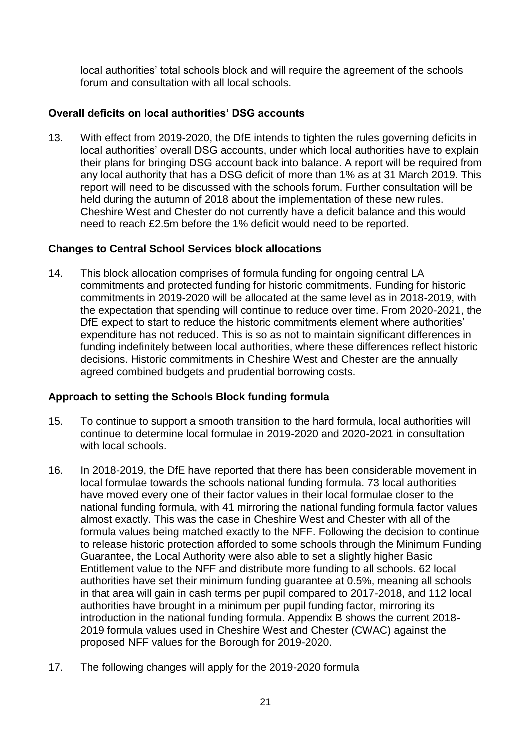local authorities' total schools block and will require the agreement of the schools forum and consultation with all local schools.

### **Overall deficits on local authorities' DSG accounts**

13. With effect from 2019-2020, the DfE intends to tighten the rules governing deficits in local authorities' overall DSG accounts, under which local authorities have to explain their plans for bringing DSG account back into balance. A report will be required from any local authority that has a DSG deficit of more than 1% as at 31 March 2019. This report will need to be discussed with the schools forum. Further consultation will be held during the autumn of 2018 about the implementation of these new rules. Cheshire West and Chester do not currently have a deficit balance and this would need to reach £2.5m before the 1% deficit would need to be reported.

### **Changes to Central School Services block allocations**

14. This block allocation comprises of formula funding for ongoing central LA commitments and protected funding for historic commitments. Funding for historic commitments in 2019-2020 will be allocated at the same level as in 2018-2019, with the expectation that spending will continue to reduce over time. From 2020-2021, the DfE expect to start to reduce the historic commitments element where authorities' expenditure has not reduced. This is so as not to maintain significant differences in funding indefinitely between local authorities, where these differences reflect historic decisions. Historic commitments in Cheshire West and Chester are the annually agreed combined budgets and prudential borrowing costs.

### **Approach to setting the Schools Block funding formula**

- 15. To continue to support a smooth transition to the hard formula, local authorities will continue to determine local formulae in 2019-2020 and 2020-2021 in consultation with local schools.
- 16. In 2018-2019, the DfE have reported that there has been considerable movement in local formulae towards the schools national funding formula. 73 local authorities have moved every one of their factor values in their local formulae closer to the national funding formula, with 41 mirroring the national funding formula factor values almost exactly. This was the case in Cheshire West and Chester with all of the formula values being matched exactly to the NFF. Following the decision to continue to release historic protection afforded to some schools through the Minimum Funding Guarantee, the Local Authority were also able to set a slightly higher Basic Entitlement value to the NFF and distribute more funding to all schools. 62 local authorities have set their minimum funding guarantee at 0.5%, meaning all schools in that area will gain in cash terms per pupil compared to 2017-2018, and 112 local authorities have brought in a minimum per pupil funding factor, mirroring its introduction in the national funding formula. Appendix B shows the current 2018- 2019 formula values used in Cheshire West and Chester (CWAC) against the proposed NFF values for the Borough for 2019-2020.
- 17. The following changes will apply for the 2019-2020 formula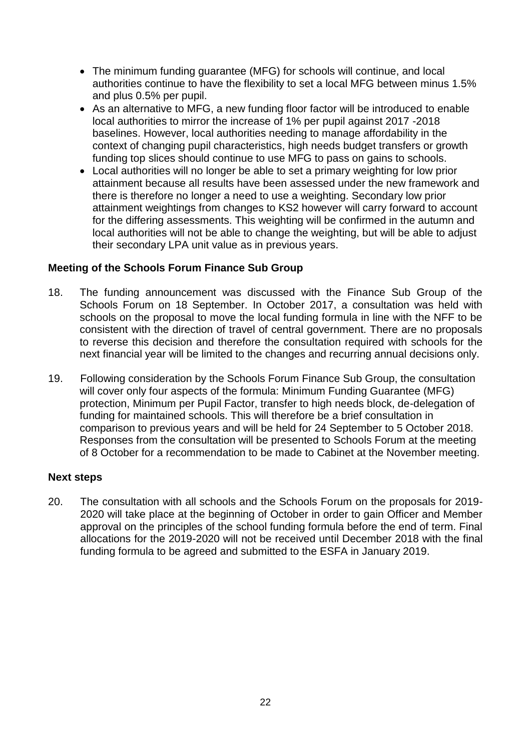- The minimum funding guarantee (MFG) for schools will continue, and local authorities continue to have the flexibility to set a local MFG between minus 1.5% and plus 0.5% per pupil.
- As an alternative to MFG, a new funding floor factor will be introduced to enable local authorities to mirror the increase of 1% per pupil against 2017 -2018 baselines. However, local authorities needing to manage affordability in the context of changing pupil characteristics, high needs budget transfers or growth funding top slices should continue to use MFG to pass on gains to schools.
- Local authorities will no longer be able to set a primary weighting for low prior attainment because all results have been assessed under the new framework and there is therefore no longer a need to use a weighting. Secondary low prior attainment weightings from changes to KS2 however will carry forward to account for the differing assessments. This weighting will be confirmed in the autumn and local authorities will not be able to change the weighting, but will be able to adjust their secondary LPA unit value as in previous years.

### **Meeting of the Schools Forum Finance Sub Group**

- 18. The funding announcement was discussed with the Finance Sub Group of the Schools Forum on 18 September. In October 2017, a consultation was held with schools on the proposal to move the local funding formula in line with the NFF to be consistent with the direction of travel of central government. There are no proposals to reverse this decision and therefore the consultation required with schools for the next financial year will be limited to the changes and recurring annual decisions only.
- 19. Following consideration by the Schools Forum Finance Sub Group, the consultation will cover only four aspects of the formula: Minimum Funding Guarantee (MFG) protection, Minimum per Pupil Factor, transfer to high needs block, de-delegation of funding for maintained schools. This will therefore be a brief consultation in comparison to previous years and will be held for 24 September to 5 October 2018. Responses from the consultation will be presented to Schools Forum at the meeting of 8 October for a recommendation to be made to Cabinet at the November meeting.

### **Next steps**

20. The consultation with all schools and the Schools Forum on the proposals for 2019- 2020 will take place at the beginning of October in order to gain Officer and Member approval on the principles of the school funding formula before the end of term. Final allocations for the 2019-2020 will not be received until December 2018 with the final funding formula to be agreed and submitted to the ESFA in January 2019.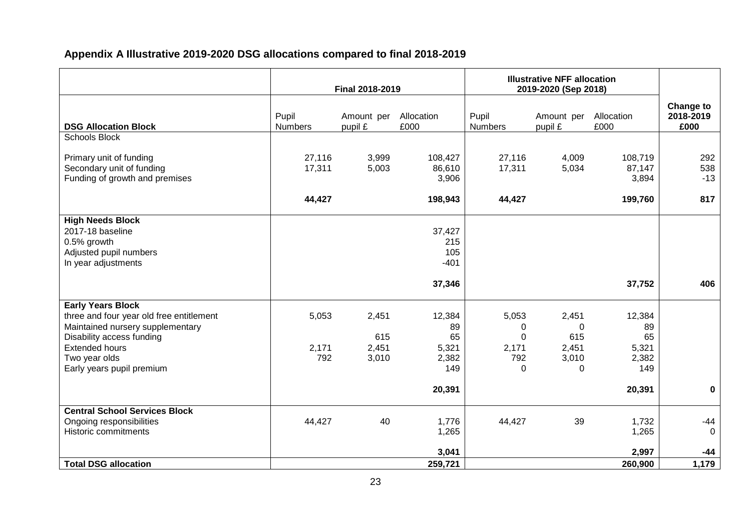### **Appendix A Illustrative 2019-2020 DSG allocations compared to final 2018-2019**

|                                                                                                                                                                                                              | Final 2018-2019         |                                | <b>Illustrative NFF allocation</b><br>2019-2020 (Sep 2018) |                                             |                                          |                                                       |                                       |
|--------------------------------------------------------------------------------------------------------------------------------------------------------------------------------------------------------------|-------------------------|--------------------------------|------------------------------------------------------------|---------------------------------------------|------------------------------------------|-------------------------------------------------------|---------------------------------------|
| <b>DSG Allocation Block</b>                                                                                                                                                                                  | Pupil<br><b>Numbers</b> | Amount per<br>pupil £          | Allocation<br>£000                                         | Pupil<br><b>Numbers</b>                     | Amount per<br>pupil £                    | Allocation<br>£000                                    | <b>Change to</b><br>2018-2019<br>£000 |
| <b>Schools Block</b>                                                                                                                                                                                         |                         |                                |                                                            |                                             |                                          |                                                       |                                       |
| Primary unit of funding<br>Secondary unit of funding<br>Funding of growth and premises                                                                                                                       | 27,116<br>17,311        | 3,999<br>5,003                 | 108,427<br>86,610<br>3,906                                 | 27,116<br>17,311                            | 4,009<br>5,034                           | 108,719<br>87,147<br>3,894                            | 292<br>538<br>$-13$                   |
|                                                                                                                                                                                                              | 44,427                  |                                | 198,943                                                    | 44,427                                      |                                          | 199,760                                               | 817                                   |
| <b>High Needs Block</b><br>2017-18 baseline<br>0.5% growth<br>Adjusted pupil numbers<br>In year adjustments                                                                                                  |                         |                                | 37,427<br>215<br>105<br>$-401$                             |                                             |                                          |                                                       |                                       |
|                                                                                                                                                                                                              |                         |                                | 37,346                                                     |                                             |                                          | 37,752                                                | 406                                   |
| <b>Early Years Block</b><br>three and four year old free entitlement<br>Maintained nursery supplementary<br>Disability access funding<br><b>Extended hours</b><br>Two year olds<br>Early years pupil premium | 5,053<br>2,171<br>792   | 2,451<br>615<br>2,451<br>3,010 | 12,384<br>89<br>65<br>5,321<br>2,382<br>149<br>20,391      | 5,053<br>0<br>$\Omega$<br>2,171<br>792<br>0 | 2,451<br>0<br>615<br>2,451<br>3,010<br>0 | 12,384<br>89<br>65<br>5,321<br>2,382<br>149<br>20,391 | $\mathbf 0$                           |
|                                                                                                                                                                                                              |                         |                                |                                                            |                                             |                                          |                                                       |                                       |
| <b>Central School Services Block</b><br>Ongoing responsibilities<br>Historic commitments                                                                                                                     | 44,427                  | 40                             | 1,776<br>1,265                                             | 44,427                                      | 39                                       | 1,732<br>1,265                                        | $-44$<br>$\mathbf 0$                  |
|                                                                                                                                                                                                              |                         |                                | 3,041                                                      |                                             |                                          | 2,997                                                 | $-44$                                 |
| <b>Total DSG allocation</b>                                                                                                                                                                                  |                         |                                | 259,721                                                    |                                             |                                          | 260,900                                               | 1,179                                 |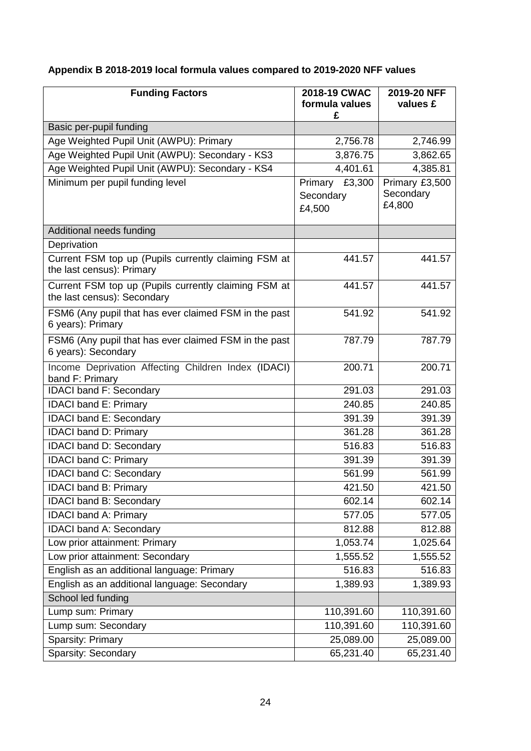### **Appendix B 2018-2019 local formula values compared to 2019-2020 NFF values**

| <b>Funding Factors</b>                                                              | 2018-19 CWAC<br>formula values<br>£      | 2019-20 NFF<br>values £               |
|-------------------------------------------------------------------------------------|------------------------------------------|---------------------------------------|
| Basic per-pupil funding                                                             |                                          |                                       |
| Age Weighted Pupil Unit (AWPU): Primary                                             | 2,756.78                                 | 2,746.99                              |
| Age Weighted Pupil Unit (AWPU): Secondary - KS3                                     | 3,876.75                                 | 3,862.65                              |
| Age Weighted Pupil Unit (AWPU): Secondary - KS4                                     | 4,401.61                                 | 4,385.81                              |
| Minimum per pupil funding level                                                     | £3,300<br>Primary<br>Secondary<br>£4,500 | Primary £3,500<br>Secondary<br>£4,800 |
| Additional needs funding                                                            |                                          |                                       |
| Deprivation                                                                         |                                          |                                       |
| Current FSM top up (Pupils currently claiming FSM at<br>the last census): Primary   | 441.57                                   | 441.57                                |
| Current FSM top up (Pupils currently claiming FSM at<br>the last census): Secondary | 441.57                                   | 441.57                                |
| FSM6 (Any pupil that has ever claimed FSM in the past<br>6 years): Primary          | 541.92                                   | 541.92                                |
| FSM6 (Any pupil that has ever claimed FSM in the past<br>6 years): Secondary        | 787.79                                   | 787.79                                |
| Income Deprivation Affecting Children Index (IDACI)<br>band F: Primary              | 200.71                                   | 200.71                                |
| <b>IDACI band F: Secondary</b>                                                      | 291.03                                   | 291.03                                |
| <b>IDACI band E: Primary</b>                                                        | 240.85                                   | 240.85                                |
| <b>IDACI band E: Secondary</b>                                                      | 391.39                                   | 391.39                                |
| <b>IDACI band D: Primary</b>                                                        | 361.28                                   | 361.28                                |
| <b>IDACI band D: Secondary</b>                                                      | 516.83                                   | 516.83                                |
| <b>IDACI band C: Primary</b>                                                        | 391.39                                   | 391.39                                |
| <b>IDACI band C: Secondary</b>                                                      | 561.99                                   | 561.99                                |
| <b>IDACI</b> band B: Primary                                                        | 421.50                                   | 421.50                                |
| IDACI band B: Secondary                                                             | 602.14                                   | 602.14                                |
| <b>IDACI band A: Primary</b>                                                        | 577.05                                   | 577.05                                |
| <b>IDACI band A: Secondary</b>                                                      | 812.88                                   | 812.88                                |
| Low prior attainment: Primary                                                       | 1,053.74                                 | 1,025.64                              |
| Low prior attainment: Secondary                                                     | 1,555.52                                 | 1,555.52                              |
| English as an additional language: Primary                                          | 516.83                                   | 516.83                                |
| English as an additional language: Secondary                                        | 1,389.93                                 | 1,389.93                              |
| School led funding                                                                  |                                          |                                       |
| Lump sum: Primary                                                                   | 110,391.60                               | 110,391.60                            |
| Lump sum: Secondary                                                                 | 110,391.60                               | 110,391.60                            |
| Sparsity: Primary                                                                   | 25,089.00                                | 25,089.00                             |
| Sparsity: Secondary                                                                 | 65,231.40                                | 65,231.40                             |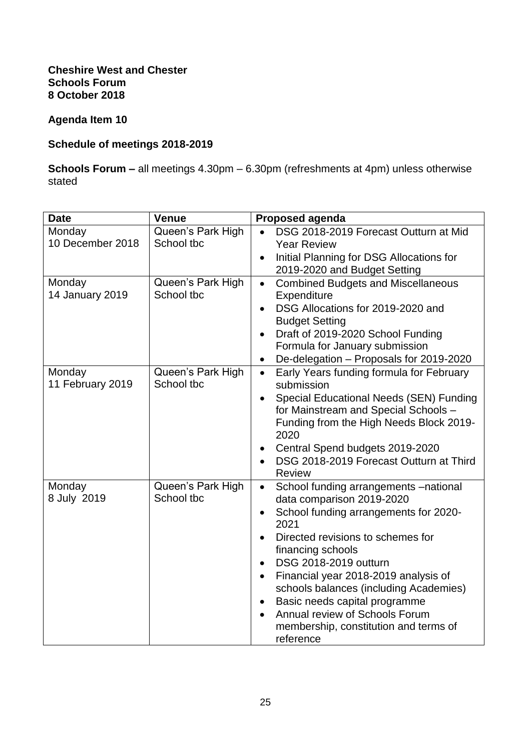### **Cheshire West and Chester Schools Forum 8 October 2018**

### **Agenda Item 10**

### **Schedule of meetings 2018-2019**

**Schools Forum –** all meetings 4.30pm – 6.30pm (refreshments at 4pm) unless otherwise stated

| <b>Date</b>      | <b>Venue</b>      | <b>Proposed agenda</b>                                                  |
|------------------|-------------------|-------------------------------------------------------------------------|
| Monday           | Queen's Park High | DSG 2018-2019 Forecast Outturn at Mid                                   |
| 10 December 2018 | School tbc        | <b>Year Review</b>                                                      |
|                  |                   | Initial Planning for DSG Allocations for<br>$\bullet$                   |
|                  |                   | 2019-2020 and Budget Setting                                            |
| Monday           | Queen's Park High | <b>Combined Budgets and Miscellaneous</b><br>$\bullet$                  |
| 14 January 2019  | School tbc        | Expenditure                                                             |
|                  |                   | DSG Allocations for 2019-2020 and<br>$\bullet$<br><b>Budget Setting</b> |
|                  |                   | Draft of 2019-2020 School Funding                                       |
|                  |                   | Formula for January submission                                          |
|                  |                   | De-delegation - Proposals for 2019-2020<br>$\bullet$                    |
| Monday           | Queen's Park High | Early Years funding formula for February<br>$\bullet$                   |
| 11 February 2019 | School tbc        | submission                                                              |
|                  |                   | Special Educational Needs (SEN) Funding                                 |
|                  |                   | for Mainstream and Special Schools -                                    |
|                  |                   | Funding from the High Needs Block 2019-<br>2020                         |
|                  |                   | Central Spend budgets 2019-2020                                         |
|                  |                   | DSG 2018-2019 Forecast Outturn at Third<br><b>Review</b>                |
| Monday           | Queen's Park High | $\bullet$                                                               |
| 8 July 2019      | School tbc        | School funding arrangements -national<br>data comparison 2019-2020      |
|                  |                   | School funding arrangements for 2020-<br>2021                           |
|                  |                   | Directed revisions to schemes for                                       |
|                  |                   | financing schools                                                       |
|                  |                   | DSG 2018-2019 outturn<br>$\bullet$                                      |
|                  |                   | Financial year 2018-2019 analysis of<br>$\bullet$                       |
|                  |                   | schools balances (including Academies)                                  |
|                  |                   | Basic needs capital programme                                           |
|                  |                   | Annual review of Schools Forum<br>$\bullet$                             |
|                  |                   | membership, constitution and terms of                                   |
|                  |                   | reference                                                               |